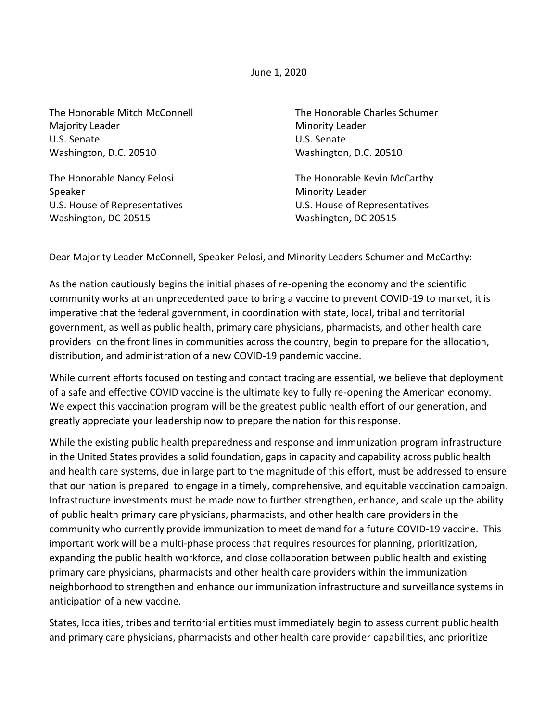June 1, 2020

The Honorable Mitch McConnell Majority Leader U.S. Senate Washington, D.C. 20510

The Honorable Nancy Pelosi Speaker U.S. House of Representatives Washington, DC 20515

The Honorable Charles Schumer Minority Leader U.S. Senate Washington, D.C. 20510

The Honorable Kevin McCarthy Minority Leader U.S. House of Representatives Washington, DC 20515

Dear Majority Leader McConnell, Speaker Pelosi, and Minority Leaders Schumer and McCarthy:

As the nation cautiously begins the initial phases of re-opening the economy and the scientific community works at an unprecedented pace to bring a vaccine to prevent COVID-19 to market, it is imperative that the federal government, in coordination with state, local, tribal and territorial government, as well as public health, primary care physicians, pharmacists, and other health care providers on the front lines in communities across the country, begin to prepare for the allocation, distribution, and administration of a new COVID-19 pandemic vaccine.

While current efforts focused on testing and contact tracing are essential, we believe that deployment of a safe and effective COVID vaccine is the ultimate key to fully re-opening the American economy. We expect this vaccination program will be the greatest public health effort of our generation, and greatly appreciate your leadership now to prepare the nation for this response.

While the existing public health preparedness and response and immunization program infrastructure in the United States provides a solid foundation, gaps in capacity and capability across public health and health care systems, due in large part to the magnitude of this effort, must be addressed to ensure that our nation is prepared to engage in a timely, comprehensive, and equitable vaccination campaign. Infrastructure investments must be made now to further strengthen, enhance, and scale up the ability of public health primary care physicians, pharmacists, and other health care providers in the community who currently provide immunization to meet demand for a future COVID-19 vaccine. This important work will be a multi-phase process that requires resources for planning, prioritization, expanding the public health workforce, and close collaboration between public health and existing primary care physicians, pharmacists and other health care providers within the immunization neighborhood to strengthen and enhance our immunization infrastructure and surveillance systems in anticipation of a new vaccine.

States, localities, tribes and territorial entities must immediately begin to assess current public health and primary care physicians, pharmacists and other health care provider capabilities, and prioritize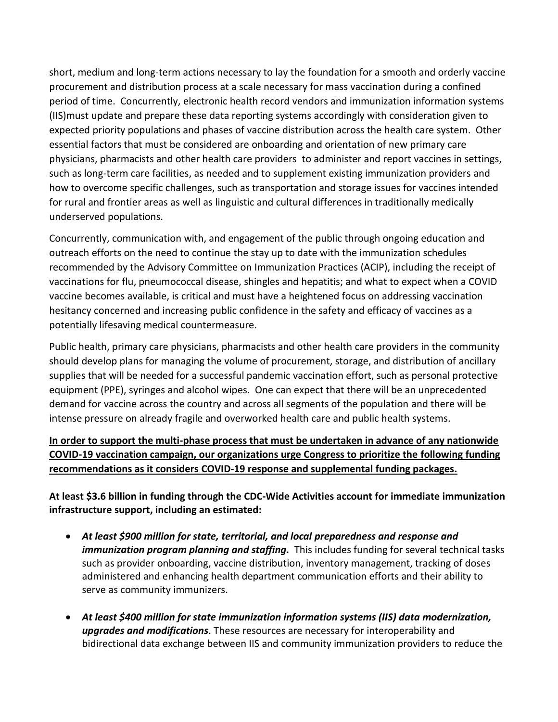short, medium and long-term actions necessary to lay the foundation for a smooth and orderly vaccine procurement and distribution process at a scale necessary for mass vaccination during a confined period of time. Concurrently, electronic health record vendors and immunization information systems (IIS)must update and prepare these data reporting systems accordingly with consideration given to expected priority populations and phases of vaccine distribution across the health care system. Other essential factors that must be considered are onboarding and orientation of new primary care physicians, pharmacists and other health care providers to administer and report vaccines in settings, such as long-term care facilities, as needed and to supplement existing immunization providers and how to overcome specific challenges, such as transportation and storage issues for vaccines intended for rural and frontier areas as well as linguistic and cultural differences in traditionally medically underserved populations.

Concurrently, communication with, and engagement of the public through ongoing education and outreach efforts on the need to continue the stay up to date with the immunization schedules recommended by the Advisory Committee on Immunization Practices (ACIP), including the receipt of vaccinations for flu, pneumococcal disease, shingles and hepatitis; and what to expect when a COVID vaccine becomes available, is critical and must have a heightened focus on addressing vaccination hesitancy concerned and increasing public confidence in the safety and efficacy of vaccines as a potentially lifesaving medical countermeasure.

Public health, primary care physicians, pharmacists and other health care providers in the community should develop plans for managing the volume of procurement, storage, and distribution of ancillary supplies that will be needed for a successful pandemic vaccination effort, such as personal protective equipment (PPE), syringes and alcohol wipes. One can expect that there will be an unprecedented demand for vaccine across the country and across all segments of the population and there will be intense pressure on already fragile and overworked health care and public health systems.

**In order to support the multi-phase process that must be undertaken in advance of any nationwide COVID-19 vaccination campaign, our organizations urge Congress to prioritize the following funding recommendations as it considers COVID-19 response and supplemental funding packages.**

**At least \$3.6 billion in funding through the CDC-Wide Activities account for immediate immunization infrastructure support, including an estimated:** 

- *At least \$900 million for state, territorial, and local preparedness and response and immunization program planning and staffing.* This includes funding for several technical tasks such as provider onboarding, vaccine distribution, inventory management, tracking of doses administered and enhancing health department communication efforts and their ability to serve as community immunizers.
- *At least \$400 million for state immunization information systems (IIS) data modernization, upgrades and modifications*. These resources are necessary for interoperability and bidirectional data exchange between IIS and community immunization providers to reduce the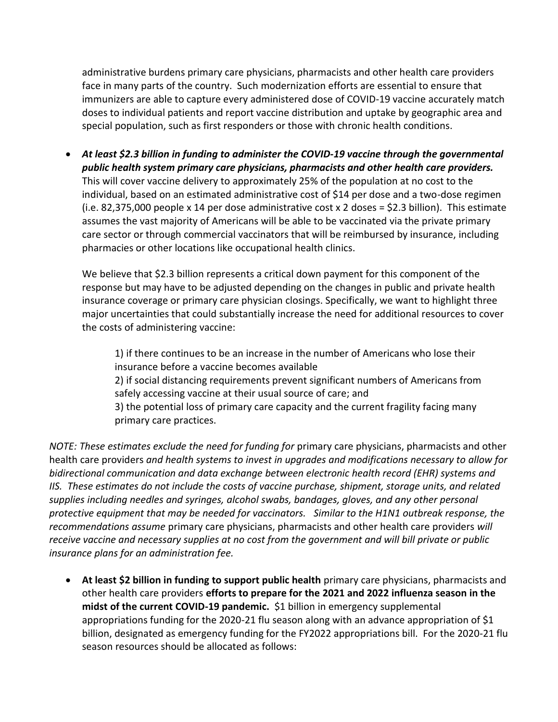administrative burdens primary care physicians, pharmacists and other health care providers face in many parts of the country. Such modernization efforts are essential to ensure that immunizers are able to capture every administered dose of COVID-19 vaccine accurately match doses to individual patients and report vaccine distribution and uptake by geographic area and special population, such as first responders or those with chronic health conditions.

• *At least \$2.3 billion in funding to administer the COVID-19 vaccine through the governmental public health system primary care physicians, pharmacists and other health care providers.*  This will cover vaccine delivery to approximately 25% of the population at no cost to the individual, based on an estimated administrative cost of \$14 per dose and a two-dose regimen (i.e. 82,375,000 people x 14 per dose administrative cost x 2 doses = \$2.3 billion). This estimate assumes the vast majority of Americans will be able to be vaccinated via the private primary care sector or through commercial vaccinators that will be reimbursed by insurance, including pharmacies or other locations like occupational health clinics.

We believe that \$2.3 billion represents a critical down payment for this component of the response but may have to be adjusted depending on the changes in public and private health insurance coverage or primary care physician closings. Specifically, we want to highlight three major uncertainties that could substantially increase the need for additional resources to cover the costs of administering vaccine:

1) if there continues to be an increase in the number of Americans who lose their insurance before a vaccine becomes available 2) if social distancing requirements prevent significant numbers of Americans from safely accessing vaccine at their usual source of care; and 3) the potential loss of primary care capacity and the current fragility facing many primary care practices.

*NOTE: These estimates exclude the need for funding for* primary care physicians, pharmacists and other health care providers *and health systems to invest in upgrades and modifications necessary to allow for bidirectional communication and data exchange between electronic health record (EHR) systems and IIS. These estimates do not include the costs of vaccine purchase, shipment, storage units, and related supplies including needles and syringes, alcohol swabs, bandages, gloves, and any other personal protective equipment that may be needed for vaccinators. Similar to the H1N1 outbreak response, the recommendations assume* primary care physicians, pharmacists and other health care providers *will receive vaccine and necessary supplies at no cost from the government and will bill private or public insurance plans for an administration fee.* 

• **At least \$2 billion in funding to support public health** primary care physicians, pharmacists and other health care providers **efforts to prepare for the 2021 and 2022 influenza season in the midst of the current COVID-19 pandemic.** \$1 billion in emergency supplemental appropriations funding for the 2020-21 flu season along with an advance appropriation of \$1 billion, designated as emergency funding for the FY2022 appropriations bill. For the 2020-21 flu season resources should be allocated as follows: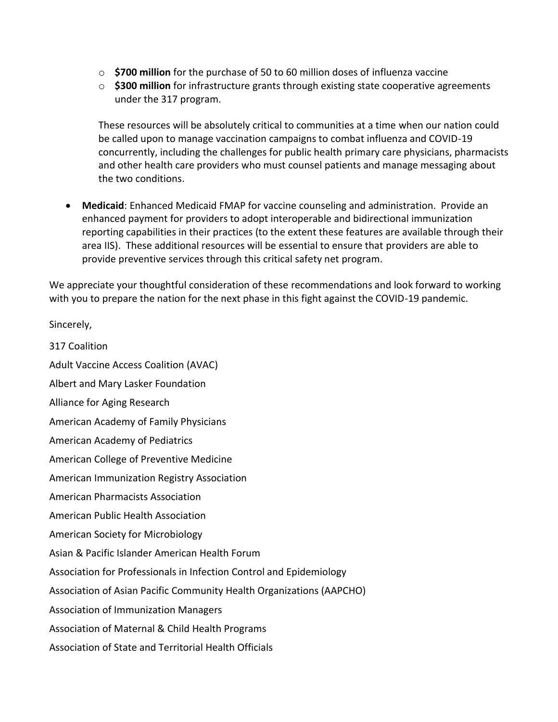- o **\$700 million** for the purchase of 50 to 60 million doses of influenza vaccine
- o **\$300 million** for infrastructure grants through existing state cooperative agreements under the 317 program.

These resources will be absolutely critical to communities at a time when our nation could be called upon to manage vaccination campaigns to combat influenza and COVID-19 concurrently, including the challenges for public health primary care physicians, pharmacists and other health care providers who must counsel patients and manage messaging about the two conditions.

• **Medicaid**: Enhanced Medicaid FMAP for vaccine counseling and administration. Provide an enhanced payment for providers to adopt interoperable and bidirectional immunization reporting capabilities in their practices (to the extent these features are available through their area IIS). These additional resources will be essential to ensure that providers are able to provide preventive services through this critical safety net program.

We appreciate your thoughtful consideration of these recommendations and look forward to working with you to prepare the nation for the next phase in this fight against the COVID-19 pandemic.

Sincerely,

317 Coalition Adult Vaccine Access Coalition (AVAC) Albert and Mary Lasker Foundation Alliance for Aging Research American Academy of Family Physicians American Academy of Pediatrics American College of Preventive Medicine American Immunization Registry Association American Pharmacists Association American Public Health Association American Society for Microbiology Asian & Pacific Islander American Health Forum Association for Professionals in Infection Control and Epidemiology Association of Asian Pacific Community Health Organizations (AAPCHO) Association of Immunization Managers Association of Maternal & Child Health Programs Association of State and Territorial Health Officials